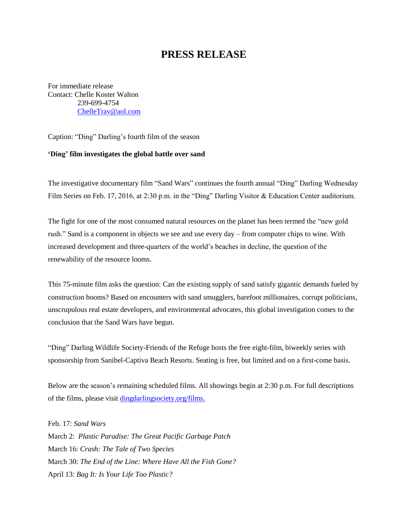## **PRESS RELEASE**

For immediate release Contact: Chelle Koster Walton 239-699-4754 [ChelleTrav@aol.com](mailto:ChelleTrav@aol.com)

Caption: "Ding" Darling's fourth film of the season

## **'Ding' film investigates the global battle over sand**

The investigative documentary film "Sand Wars" continues the fourth annual "Ding" Darling Wednesday Film Series on Feb. 17, 2016, at 2:30 p.m. in the "Ding" Darling Visitor & Education Center auditorium.

The fight for one of the most consumed natural resources on the planet has been termed the "new gold rush." Sand is a component in objects we see and use every day – from computer chips to wine. With increased development and three-quarters of the world's beaches in decline, the question of the renewability of the resource looms.

This 75-minute film asks the question: Can the existing supply of sand satisfy gigantic demands fueled by construction booms? Based on encounters with sand smugglers, barefoot millionaires, corrupt politicians, unscrupulous real estate developers, and environmental advocates, this global investigation comes to the conclusion that the Sand Wars have begun.

"Ding" Darling Wildlife Society-Friends of the Refuge hosts the free eight-film, biweekly series with sponsorship from Sanibel-Captiva Beach Resorts. Seating is free, but limited and on a first-come basis.

Below are the season's remaining scheduled films. All showings begin at 2:30 p.m. For full descriptions of the films, please visit [dingdarlingsociety.org/films.](http://www.dingdarlingsociety.org/films)

Feb. 17: *Sand Wars* March 2: *Plastic Paradise: The Great Pacific Garbage Patch* March 16: *Crash: The Tale of Two Species* March 30: *The End of the Line: Where Have All the Fish Gone?* April 13: *Bag It: Is Your Life Too Plastic?*